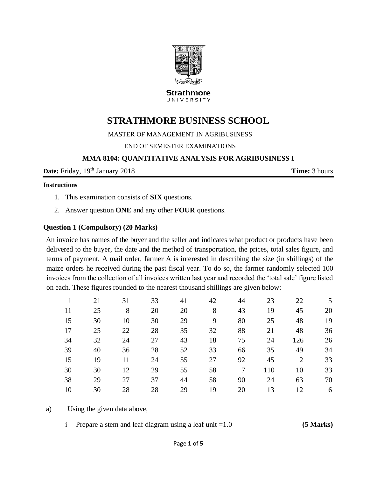

**Strathmore** UNIVERSITY

# **STRATHMORE BUSINESS SCHOOL**

MASTER OF MANAGEMENT IN AGRIBUSINESS

END OF SEMESTER EXAMINATIONS

#### **MMA 8104: QUANTITATIVE ANALYSIS FOR AGRIBUSINESS I**

**Date:** Friday,  $19<sup>th</sup>$  January 2018 **Time:** 3 hours

#### **Instructions**

- 1. This examination consists of **SIX** questions.
- 2. Answer question **ONE** and any other **FOUR** questions.

#### **Question 1 (Compulsory) (20 Marks)**

An invoice has names of the buyer and the seller and indicates what product or products have been delivered to the buyer, the date and the method of transportation, the prices, total sales figure, and terms of payment. A mail order, farmer A is interested in describing the size (in shillings) of the maize orders he received during the past fiscal year. To do so, the farmer randomly selected 100 invoices from the collection of all invoices written last year and recorded the 'total sale' figure listed on each. These figures rounded to the nearest thousand shillings are given below:

|    | 21 | 31 | 33 | 41 | 42 | 44 | 23  | 22  | 5  |
|----|----|----|----|----|----|----|-----|-----|----|
| 11 | 25 | 8  | 20 | 20 | 8  | 43 | 19  | 45  | 20 |
| 15 | 30 | 10 | 30 | 29 | 9  | 80 | 25  | 48  | 19 |
| 17 | 25 | 22 | 28 | 35 | 32 | 88 | 21  | 48  | 36 |
| 34 | 32 | 24 | 27 | 43 | 18 | 75 | 24  | 126 | 26 |
| 39 | 40 | 36 | 28 | 52 | 33 | 66 | 35  | 49  | 34 |
| 15 | 19 | 11 | 24 | 55 | 27 | 92 | 45  | 2   | 33 |
| 30 | 30 | 12 | 29 | 55 | 58 | 7  | 110 | 10  | 33 |
| 38 | 29 | 27 | 37 | 44 | 58 | 90 | 24  | 63  | 70 |
| 10 | 30 | 28 | 28 | 29 | 19 | 20 | 13  | 12  | 6  |
|    |    |    |    |    |    |    |     |     |    |

a) Using the given data above,

i Prepare a stem and leaf diagram using a leaf unit =1.0 **(5 Marks)**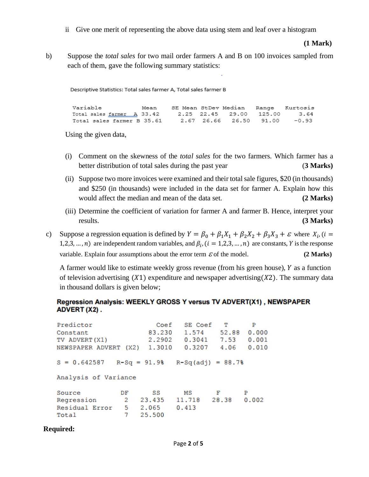ii Give one merit of representing the above data using stem and leaf over a histogram

**(1 Mark)** 

b) Suppose the *total sales* for two mail order farmers A and B on 100 invoices sampled from each of them, gave the following summary statistics:

Descriptive Statistics: Total sales farmer A, Total sales farmer B

| Variable |  | Mean SE Mean StDev Median Range Kurtosis |  |
|----------|--|------------------------------------------|--|
|          |  |                                          |  |
|          |  |                                          |  |

Using the given data,

- (i) Comment on the skewness of the *total sales* for the two farmers. Which farmer has a better distribution of total sales during the past year (**3 Marks)**
- (ii) Suppose two more invoices were examined and their total sale figures, \$20 (in thousands) and \$250 (in thousands) were included in the data set for farmer A. Explain how this would affect the median and mean of the data set. **(2 Marks)**
- (iii) Determine the coefficient of variation for farmer A and farmer B. Hence, interpret your results. **(3 Marks)**
- c) Suppose a regression equation is defined by  $Y = \beta_0 + \beta_1 X_1 + \beta_2 X_2 + \beta_3 X_3 + \varepsilon$  where  $X_i$ , (*i* = 1,2,3, ..., *n*) are independent random variables, and  $\beta_i$ , ( $i = 1,2,3,...,n$ ) are constants, *Y* is the response variable. Explain four assumptions about the error term  $\epsilon$  of the model. **(2 Marks)**

A farmer would like to estimate weekly gross revenue (from his green house),  $Y$  as a function of television advertising  $(X1)$  expenditure and newspaper advertising  $(X2)$ . The summary data in thousand dollars is given below;

#### Regression Analysis: WEEKLY GROSS Y versus TV ADVERT(X1), NEWSPAPER ADVERT (X2).

| Predictor<br>Constant<br>TV ADVERT (X1)<br>NEWSPAPER ADVERT (X2) |                           | Coef<br>83.230<br>2.2902<br>1.3010 | SE Coef<br>1.574<br>0.3207 | - T<br>52.88<br>$0.3041$ 7.53<br>4.06 | P<br>0.000<br>0.001<br>0.010 |
|------------------------------------------------------------------|---------------------------|------------------------------------|----------------------------|---------------------------------------|------------------------------|
| $S = 0.642587$<br>Analysis of Variance                           |                           | $R-Sq = 91.98$                     | $R-Sq(adj) = 88.7%$        |                                       |                              |
| Source<br>Regression<br>Residual Error<br>Total                  | DF<br>$\overline{2}$<br>7 | SS<br>23.435<br>5 2.065<br>25.500  | МS<br>11.718<br>0.413      | – F<br>28.38                          | P<br>0.002                   |

#### **Required:**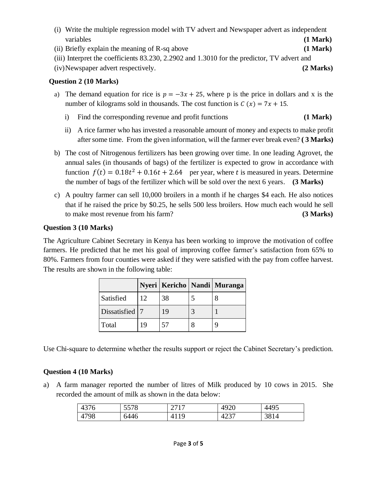- (i) Write the multiple regression model with TV advert and Newspaper advert as independent variables **(1 Mark)**
- (ii) Briefly explain the meaning of R-sq above **(1 Mark)**
- (iii) Interpret the coefficients 83.230, 2.2902 and 1.3010 for the predictor, TV advert and

(iv)Newspaper advert respectively. **(2 Marks)**

### **Question 2 (10 Marks)**

- a) The demand equation for rice is  $p = -3x + 25$ , where p is the price in dollars and x is the number of kilograms sold in thousands. The cost function is  $C(x) = 7x + 15$ .
	- i) Find the corresponding revenue and profit functions **(1 Mark)**
	- ii) A rice farmer who has invested a reasonable amount of money and expects to make profit after some time. From the given information, will the farmer ever break even? **( 3 Marks)**
- b) The cost of Nitrogenous fertilizers has been growing over time. In one leading Agrovet, the annual sales (in thousands of bags) of the fertilizer is expected to grow in accordance with function  $f(t) = 0.18t^2 + 0.16t + 2.64$  per year, where t is measured in years. Determine the number of bags of the fertilizer which will be sold over the next 6 years. **(3 Marks)**
- c) A poultry farmer can sell 10,000 broilers in a month if he charges \$4 each. He also notices that if he raised the price by \$0.25, he sells 500 less broilers. How much each would he sell to make most revenue from his farm? **(3 Marks)**

### **Question 3 (10 Marks)**

The Agriculture Cabinet Secretary in Kenya has been working to improve the motivation of coffee farmers. He predicted that he met his goal of improving coffee farmer's satisfaction from 65% to 80%. Farmers from four counties were asked if they were satisfied with the pay from coffee harvest. The results are shown in the following table:

|                  |    |    | Nyeri   Kericho   Nandi   Muranga |
|------------------|----|----|-----------------------------------|
| Satisfied        | 12 | 38 |                                   |
| Dissatisfied   7 |    | 19 |                                   |
| Total            |    | 57 |                                   |

Use Chi-square to determine whether the results support or reject the Cabinet Secretary's prediction.

### **Question 4 (10 Marks)**

a) A farm manager reported the number of litres of Milk produced by 10 cows in 2015. She recorded the amount of milk as shown in the data below:

| 4376       | 5578 | 2717<br>$\sim$ $\prime$ $\sim$ $\prime$ | 4920 | 4495 |
|------------|------|-----------------------------------------|------|------|
| 1798<br>4L | 6446 | 1 Q                                     | 4237 | 3814 |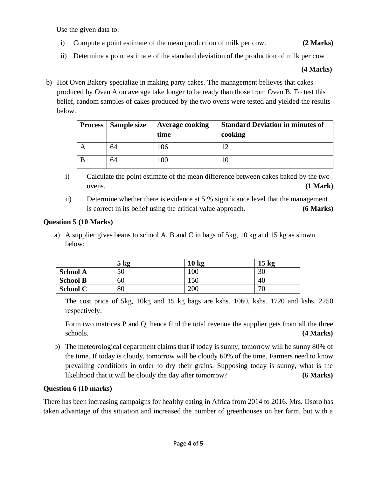Use the given data to:

- i) Compute a point estimate of the mean production of milk per cow. **(2 Marks)**
- ii) Determine a point estimate of the standard deviation of the production of milk per cow

#### **(4 Marks)**

b) Hot Oven Bakery specialize in making party cakes. The management believes that cakes produced by Oven A on average take longer to be ready than those from Oven B. To test this belief, random samples of cakes produced by the two ovens were tested and yielded the results below.

| <b>Process</b> | Sample size | <b>Average cooking</b><br>time | <b>Standard Deviation in minutes of</b><br>cooking |
|----------------|-------------|--------------------------------|----------------------------------------------------|
|                | 64          | 106                            | 12                                                 |
|                | 64          | 100                            |                                                    |

- i) Calculate the point estimate of the mean difference between cakes baked by the two ovens. **(1 Mark)**
- ii) Determine whether there is evidence at 5 % significance level that the management is correct in its belief using the critical value approach. **(6 Marks)**

### **Question 5 (10 Marks)**

a) A supplier gives beans to school A, B and C in bags of 5kg, 10 kg and 15 kg as shown below:

|                 | $5 \text{ kg}$<br>$\mathbf{D}$ | 10 <sub>kg</sub> | $15 \text{ kg}$ |
|-----------------|--------------------------------|------------------|-----------------|
| <b>School A</b> | 50                             | 100              | 30              |
| <b>School B</b> | 60                             | 150              | 40              |
| <b>School C</b> | 80                             | 200              | 70              |

The cost price of 5kg, 10kg and 15 kg bags are kshs. 1060, kshs. 1720 and kshs. 2250 respectively.

Form two matrices P and Q, hence find the total revenue the supplier gets from all the three schools. **(4 Marks)**

b) The meteorological department claims that if today is sunny, tomorrow will be sunny 80% of the time. If today is cloudy, tomorrow will be cloudy 60% of the time. Farmers need to know prevailing conditions in order to dry their grains. Supposing today is sunny, what is the likelihood that it will be cloudy the day after tomorrow? **(6 Marks)**

## **Question 6 (10 marks)**

There has been increasing campaigns for healthy eating in Africa from 2014 to 2016. Mrs. Osoro has taken advantage of this situation and increased the number of greenhouses on her farm, but with a